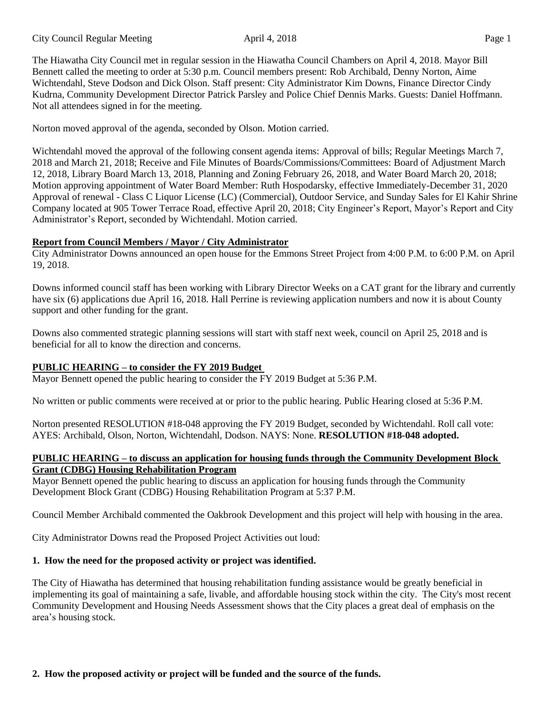#### City Council Regular Meeting April 4, 2018 Page 1

The Hiawatha City Council met in regular session in the Hiawatha Council Chambers on April 4, 2018. Mayor Bill Bennett called the meeting to order at 5:30 p.m. Council members present: Rob Archibald, Denny Norton, Aime Wichtendahl, Steve Dodson and Dick Olson. Staff present: City Administrator Kim Downs, Finance Director Cindy Kudrna, Community Development Director Patrick Parsley and Police Chief Dennis Marks. Guests: Daniel Hoffmann. Not all attendees signed in for the meeting.

Norton moved approval of the agenda, seconded by Olson. Motion carried.

Wichtendahl moved the approval of the following consent agenda items: Approval of bills; Regular Meetings March 7, 2018 and March 21, 2018; Receive and File Minutes of Boards/Commissions/Committees: Board of Adjustment March 12, 2018, Library Board March 13, 2018, Planning and Zoning February 26, 2018, and Water Board March 20, 2018; Motion approving appointment of Water Board Member: Ruth Hospodarsky, effective Immediately-December 31, 2020 Approval of renewal - Class C Liquor License (LC) (Commercial), Outdoor Service, and Sunday Sales for El Kahir Shrine Company located at 905 Tower Terrace Road, effective April 20, 2018; City Engineer's Report, Mayor's Report and City Administrator's Report, seconded by Wichtendahl. Motion carried.

#### **Report from Council Members / Mayor / City Administrator**

City Administrator Downs announced an open house for the Emmons Street Project from 4:00 P.M. to 6:00 P.M. on April 19, 2018.

Downs informed council staff has been working with Library Director Weeks on a CAT grant for the library and currently have six (6) applications due April 16, 2018. Hall Perrine is reviewing application numbers and now it is about County support and other funding for the grant.

Downs also commented strategic planning sessions will start with staff next week, council on April 25, 2018 and is beneficial for all to know the direction and concerns.

## **PUBLIC HEARING – to consider the FY 2019 Budget**

Mayor Bennett opened the public hearing to consider the FY 2019 Budget at 5:36 P.M.

No written or public comments were received at or prior to the public hearing. Public Hearing closed at 5:36 P.M.

Norton presented RESOLUTION #18-048 approving the FY 2019 Budget, seconded by Wichtendahl. Roll call vote: AYES: Archibald, Olson, Norton, Wichtendahl, Dodson. NAYS: None. **RESOLUTION #18-048 adopted.**

#### **PUBLIC HEARING – to discuss an application for housing funds through the Community Development Block Grant (CDBG) Housing Rehabilitation Program**

Mayor Bennett opened the public hearing to discuss an application for housing funds through the Community Development Block Grant (CDBG) Housing Rehabilitation Program at 5:37 P.M.

Council Member Archibald commented the Oakbrook Development and this project will help with housing in the area.

City Administrator Downs read the Proposed Project Activities out loud:

# **1. How the need for the proposed activity or project was identified.**

The City of Hiawatha has determined that housing rehabilitation funding assistance would be greatly beneficial in implementing its goal of maintaining a safe, livable, and affordable housing stock within the city. The City's most recent Community Development and Housing Needs Assessment shows that the City places a great deal of emphasis on the area's housing stock.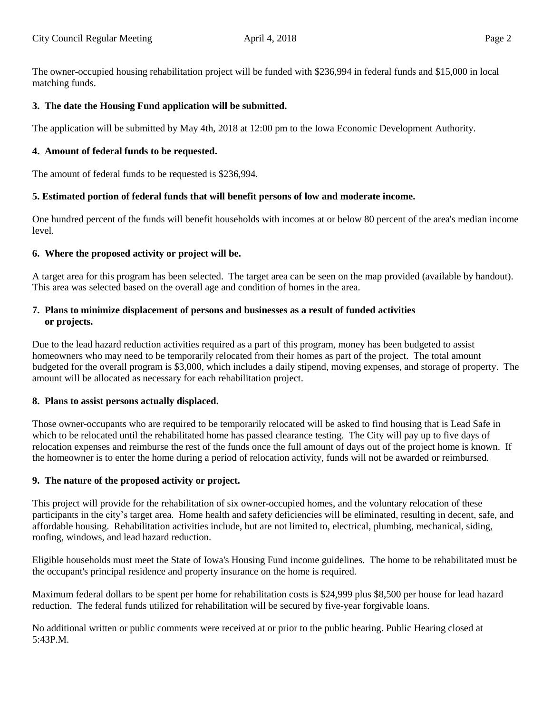The owner-occupied housing rehabilitation project will be funded with \$236,994 in federal funds and \$15,000 in local matching funds.

## **3. The date the Housing Fund application will be submitted.**

The application will be submitted by May 4th, 2018 at 12:00 pm to the Iowa Economic Development Authority.

### **4. Amount of federal funds to be requested.**

The amount of federal funds to be requested is \$236,994.

#### **5. Estimated portion of federal funds that will benefit persons of low and moderate income.**

One hundred percent of the funds will benefit households with incomes at or below 80 percent of the area's median income level.

#### **6. Where the proposed activity or project will be.**

A target area for this program has been selected. The target area can be seen on the map provided (available by handout). This area was selected based on the overall age and condition of homes in the area.

### **7. Plans to minimize displacement of persons and businesses as a result of funded activities or projects.**

Due to the lead hazard reduction activities required as a part of this program, money has been budgeted to assist homeowners who may need to be temporarily relocated from their homes as part of the project. The total amount budgeted for the overall program is \$3,000, which includes a daily stipend, moving expenses, and storage of property. The amount will be allocated as necessary for each rehabilitation project.

#### **8. Plans to assist persons actually displaced.**

Those owner-occupants who are required to be temporarily relocated will be asked to find housing that is Lead Safe in which to be relocated until the rehabilitated home has passed clearance testing. The City will pay up to five days of relocation expenses and reimburse the rest of the funds once the full amount of days out of the project home is known. If the homeowner is to enter the home during a period of relocation activity, funds will not be awarded or reimbursed.

#### **9. The nature of the proposed activity or project.**

This project will provide for the rehabilitation of six owner-occupied homes, and the voluntary relocation of these participants in the city's target area. Home health and safety deficiencies will be eliminated, resulting in decent, safe, and affordable housing. Rehabilitation activities include, but are not limited to, electrical, plumbing, mechanical, siding, roofing, windows, and lead hazard reduction.

Eligible households must meet the State of Iowa's Housing Fund income guidelines. The home to be rehabilitated must be the occupant's principal residence and property insurance on the home is required.

Maximum federal dollars to be spent per home for rehabilitation costs is \$24,999 plus \$8,500 per house for lead hazard reduction. The federal funds utilized for rehabilitation will be secured by five-year forgivable loans.

No additional written or public comments were received at or prior to the public hearing. Public Hearing closed at 5:43P.M.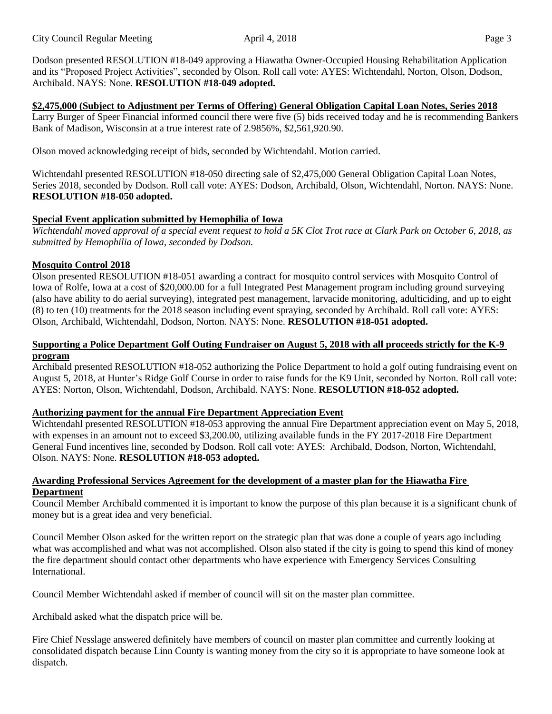Dodson presented RESOLUTION #18-049 approving a Hiawatha Owner-Occupied Housing Rehabilitation Application and its "Proposed Project Activities", seconded by Olson. Roll call vote: AYES: Wichtendahl, Norton, Olson, Dodson, Archibald. NAYS: None. **RESOLUTION #18-049 adopted.**

## **\$2,475,000 (Subject to Adjustment per Terms of Offering) General Obligation Capital Loan Notes, Series 2018**

Larry Burger of Speer Financial informed council there were five (5) bids received today and he is recommending Bankers Bank of Madison, Wisconsin at a true interest rate of 2.9856%, \$2,561,920.90.

Olson moved acknowledging receipt of bids, seconded by Wichtendahl. Motion carried.

Wichtendahl presented RESOLUTION #18-050 directing sale of \$2,475,000 General Obligation Capital Loan Notes, Series 2018, seconded by Dodson. Roll call vote: AYES: Dodson, Archibald, Olson, Wichtendahl, Norton. NAYS: None. **RESOLUTION #18-050 adopted.**

# **Special Event application submitted by Hemophilia of Iowa**

Wichtendahl moved approval of a special event request to hold a 5K Clot Trot race at Clark Park on October 6, 2018, as *submitted by Hemophilia of Iowa, seconded by Dodson.*

# **Mosquito Control 2018**

Olson presented RESOLUTION #18-051 awarding a contract for mosquito control services with Mosquito Control of Iowa of Rolfe, Iowa at a cost of \$20,000.00 for a full Integrated Pest Management program including ground surveying (also have ability to do aerial surveying), integrated pest management, larvacide monitoring, adulticiding, and up to eight (8) to ten (10) treatments for the 2018 season including event spraying, seconded by Archibald. Roll call vote: AYES: Olson, Archibald, Wichtendahl, Dodson, Norton. NAYS: None. **RESOLUTION #18-051 adopted.**

## Supporting a Police Department Golf Outing Fundraiser on August 5, 2018 with all proceeds strictly for the K-9 **program**

Archibald presented RESOLUTION #18-052 authorizing the Police Department to hold a golf outing fundraising event on August 5, 2018, at Hunter's Ridge Golf Course in order to raise funds for the K9 Unit, seconded by Norton. Roll call vote: AYES: Norton, Olson, Wichtendahl, Dodson, Archibald. NAYS: None. **RESOLUTION #18-052 adopted.**

## **Authorizing payment for the annual Fire Department Appreciation Event**

Wichtendahl presented RESOLUTION #18-053 approving the annual Fire Department appreciation event on May 5, 2018, with expenses in an amount not to exceed \$3,200.00, utilizing available funds in the FY 2017-2018 Fire Department General Fund incentives line, seconded by Dodson. Roll call vote: AYES: Archibald, Dodson, Norton, Wichtendahl, Olson. NAYS: None. **RESOLUTION #18-053 adopted.**

## **Awarding Professional Services Agreement for the development of a master plan for the Hiawatha Fire Department**

Council Member Archibald commented it is important to know the purpose of this plan because it is a significant chunk of money but is a great idea and very beneficial.

Council Member Olson asked for the written report on the strategic plan that was done a couple of years ago including what was accomplished and what was not accomplished. Olson also stated if the city is going to spend this kind of money the fire department should contact other departments who have experience with Emergency Services Consulting International.

Council Member Wichtendahl asked if member of council will sit on the master plan committee.

Archibald asked what the dispatch price will be.

Fire Chief Nesslage answered definitely have members of council on master plan committee and currently looking at consolidated dispatch because Linn County is wanting money from the city so it is appropriate to have someone look at dispatch.